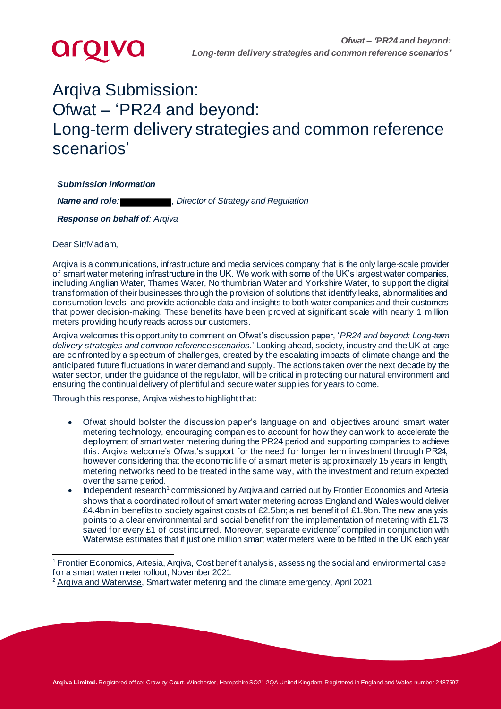

# Arqiva Submission: Ofwat – 'PR24 and beyond: Long-term delivery strategies and common reference scenarios'

*Submission Information Name and role: , Director of Strategy and Regulation*

*Response on behalf of: Arqiva*

Dear Sir/Madam,

Arqiva is a communications, infrastructure and media services company that is the only large-scale provider of smart water metering infrastructure in the UK. We work with some of the UK's largest water companies, including Anglian Water, Thames Water, Northumbrian Water and Yorkshire Water, to support the digital transformation of their businesses through the provision of solutions that identify leaks, abnormalities and consumption levels, and provide actionable data and insights to both water companies and their customers that power decision-making. These benefits have been proved at significant scale with nearly 1 million meters providing hourly reads across our customers.

Arqiva welcomes this opportunity to comment on Ofwat's discussion paper, '*PR24 and beyond: Long-term delivery strategies and common reference scenarios*.' Looking ahead, society, industry and the UK at large are confronted by a spectrum of challenges, created by the escalating impacts of climate change and the anticipated future fluctuations in water demand and supply. The actions taken over the next decade by the water sector, under the guidance of the regulator, will be critical in protecting our natural environment and ensuring the continual delivery of plentiful and secure water supplies for years to come.

Through this response, Arqiva wishes to highlight that:

- Ofwat should bolster the discussion paper's language on and objectives around smart water metering technology, encouraging companies to account for how they can work to accelerate the deployment of smart water metering during the PR24 period and supporting companies to achieve this. Arqiva welcome's Ofwat's support for the need for longer term investment through PR24, however considering that the economic life of a smart meter is approximately 15 years in length, metering networks need to be treated in the same way, with the investment and return expected over the same period.
- Independent research<sup>1</sup> commissioned by Arqiva and carried out by Frontier Economics and Artesia shows that a coordinated rollout of smart water metering across England and Wales would deliver £4.4bn in benefits to society against costs of £2.5bn; a net benefit of £1.9bn. The new analysis points to a clear environmental and social benefit from the implementation of metering with £1.73 saved for every £1 of cost incurred. Moreover, separate evidence<sup>2</sup> compiled in conjunction with Waterwise estimates that if just one million smart water meters were to be fitted in the UK each year

<sup>&</sup>lt;sup>1</sup> Frontier Economics, Artesia, Argiva, Cost benefit analysis, assessing the social and environmental case for a smart water meter rollout, November 2021

 $2$  Argiva [and Waterwise](https://www.arqiva.com/Arqiva+Waterwise+Net+Zero+Report+FINAL.pdf), Smart water metering and the climate emergency, April 2021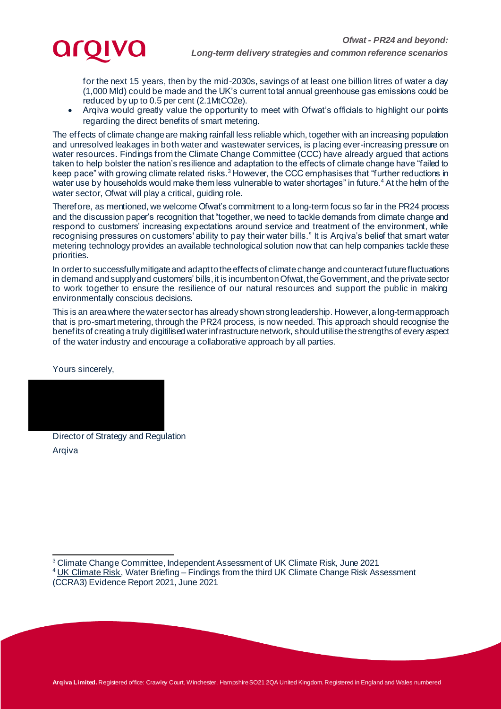

*Long-term delivery strategies and common reference scenarios*

for the next 15 years, then by the mid-2030s, savings of at least one billion litres of water a day (1,000 Mld) could be made and the UK's current total annual greenhouse gas emissions could be reduced by up to 0.5 per cent (2.1MtCO2e).

• Arqiva would greatly value the opportunity to meet with Ofwat's officials to highlight our points regarding the direct benefits of smart metering.

The effects of climate change are making rainfall less reliable which, together with an increasing population and unresolved leakages in both water and wastewater services, is placing ever-increasing pressure on water resources. Findings from the Climate Change Committee (CCC) have already argued that actions taken to help bolster the nation's resilience and adaptation to the effects of climate change have "failed to keep pace" with growing climate related risks.<sup>3</sup> However, the CCC emphasises that "further reductions in water use by households would make them less vulnerable to water shortages" in future.<sup>4</sup> At the helm of the water sector, Ofwat will play a critical, guiding role.

Therefore, as mentioned, we welcome Ofwat's commitment to a long-term focus so far in the PR24 process and the discussion paper's recognition that "together, we need to tackle demands from climate change and respond to customers' increasing expectations around service and treatment of the environment, while recognising pressures on customers' ability to pay their water bills." It is Arqiva's belief that smart water metering technology provides an available technological solution now that can help companies tackle these priorities.

In order to successfully mitigate and adapt to the effects of climate change and counteract future fluctuations in demand and supplyand customers' bills, it is incumbent on Ofwat, the Government,and the private sector to work together to ensure the resilience of our natural resources and support the public in making environmentally conscious decisions.

This is an area where the water sector has already shown strong leadership. However, a long-termapproach that is pro-smart metering, through the PR24 process, is now needed. This approach should recognise the benefitsof creating a truly digitilised water infrastructure network, should utilise the strengths of every aspect of the water industry and encourage a collaborative approach by all parties.

Yours sincerely,



Director of Strategy and Regulation Arqiva

<sup>&</sup>lt;sup>3</sup> [Climate Change Committee,](https://www.theccc.org.uk/publication/independent-assessment-of-uk-climate-risk/) Independent Assessment of UK Climate Risk, June 2021

<sup>&</sup>lt;sup>4</sup> [UK Climate Risk,](https://www.ukclimaterisk.org/wp-content/uploads/2021/06/CCRA3-Briefing-Water.pdf) Water Briefing – Findings from the third UK Climate Change Risk Assessment (CCRA3) Evidence Report 2021, June 2021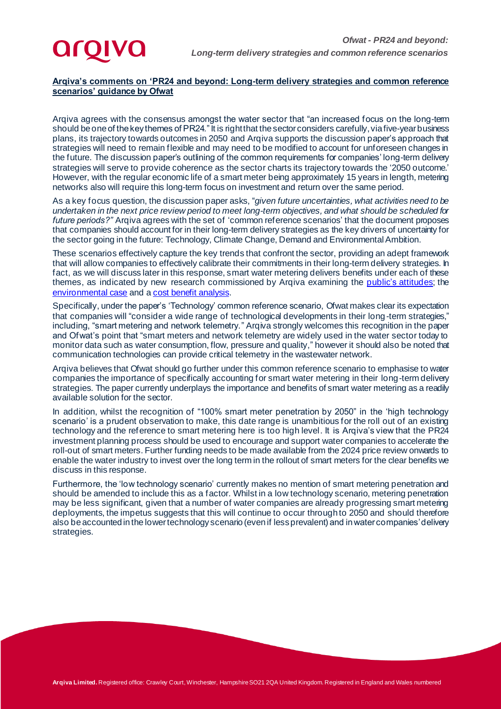## **Arqiva's comments on 'PR24 and beyond: Long-term delivery strategies and common reference scenarios' guidance by Ofwat**

Arqiva agrees with the consensus amongst the water sector that "an increased focus on the long-term should be one of the key themes of PR24." It is right that the sector considers carefully, via five-year business plans, its trajectory towards outcomes in 2050 and Arqiva supports the discussion paper's approach that strategies will need to remain flexible and may need to be modified to account for unforeseen changes in the future. The discussion paper's outlining of the common requirements for companies' long-term delivery strategies will serve to provide coherence as the sector charts its trajectory towards the '2050 outcome.' However, with the regular economic life of a smart meter being approximately 15 years in length, metering networks also will require this long-term focus on investment and return over the same period.

As a key focus question, the discussion paper asks, "*given future uncertainties, what activities need to be undertaken in the next price review period to meet long-term objectives, and what should be scheduled for future periods?"* Arqiva agrees with the set of 'common reference scenarios' that the document proposes that companies should account for in their long-term delivery strategies as the key drivers of uncertainty for the sector going in the future: Technology, Climate Change, Demand and Environmental Ambition.

These scenarios effectively capture the key trends that confront the sector, providing an adept framework that will allow companies to effectively calibrate their commitments in their long-term delivery strategies. In fact, as we will discuss later in this response, smart water metering delivers benefits under each of these themes, as indicated by new research commissioned by Arqiva examining the public's [attitudes](https://www.arqiva.com/21586.002_ARQIVA%20WATERWISE%20GLOSSY%20LANDSCAPE%20V9.2.pdf); the [environmental case](https://www.arqiva.com/Arqiva+Waterwise+Net+Zero+Report+FINAL.pdf) and [a cost benefit analysis](https://www.arqiva.com/news-views/21586.003_ARQIVA%20FRONTIER%20ARTESIA%20SMART%20WATER%20GLOSSY%20V8.0.pdf).

Specifically, under the paper's 'Technology' common reference scenario, Ofwat makes clear its expectation that companies will "consider a wide range of technological developments in their long-term strategies," including, "smart metering and network telemetry." Arqiva strongly welcomes this recognition in the paper and Ofwat's point that "smart meters and network telemetry are widely used in the water sector today to monitor data such as water consumption, flow, pressure and quality," however it should also be noted that communication technologies can provide critical telemetry in the wastewater network.

Arqiva believes that Ofwat should go further under this common reference scenario to emphasise to water companies the importance of specifically accounting for smart water metering in their long-term delivery strategies. The paper currently underplays the importance and benefits of smart water metering as a readily available solution for the sector.

In addition, whilst the recognition of "100% smart meter penetration by 2050" in the 'high technology scenario' is a prudent observation to make, this date range is unambitious for the roll out of an existing technology and the reference to smart metering here is too high level. It is Arqiva's view that the PR24 investment planning process should be used to encourage and support water companies to accelerate the roll-out of smart meters. Further funding needs to be made available from the 2024 price review onwards to enable the water industry to invest over the long term in the rollout of smart meters for the clear benefits we discuss in this response.

Furthermore, the 'low technology scenario' currently makes no mention of smart metering penetration and should be amended to include this as a factor. Whilst in a low technology scenario, metering penetration may be less significant, given that a number of water companies are already progressing smart metering deployments, the impetus suggests that this will continue to occur through to 2050 and should therefore also be accounted in the lower technology scenario (even if less prevalent) and in water companies' delivery strategies.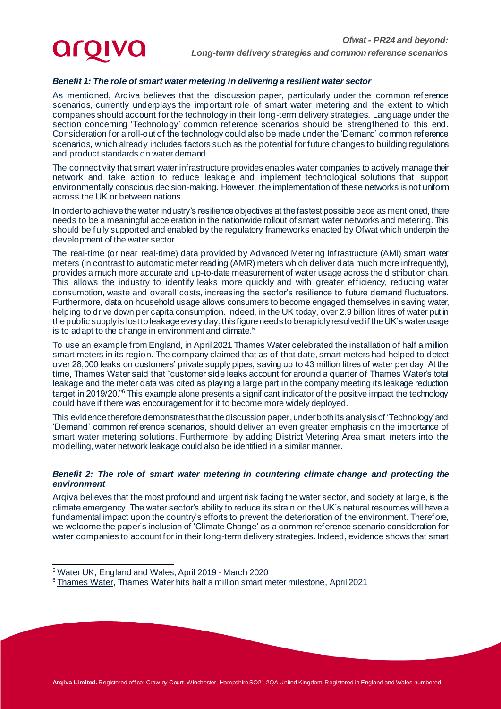## *Benefit 1: The role of smart water metering in delivering a resilient water sector*

As mentioned, Arqiva believes that the discussion paper, particularly under the common reference scenarios, currently underplays the important role of smart water metering and the extent to which companies should account for the technology in their long-term delivery strategies. Language under the section concerning 'Technology' common reference scenarios should be strengthened to this end. Consideration for a roll-out of the technology could also be made under the 'Demand' common reference scenarios, which already includes factors such as the potential for future changes to building regulations and product standards on water demand.

The connectivity that smart water infrastructure provides enables water companies to actively manage their network and take action to reduce leakage and implement technological solutions that support environmentally conscious decision-making. However, the implementation of these networks is not uniform across the UK or between nations.

In order to achieve the water industry's resilience objectives at the fastest possible pace as mentioned, there needs to be a meaningful acceleration in the nationwide rollout of smart water networks and metering. This should be fully supported and enabled by the regulatory frameworks enacted by Ofwat which underpin the development of the water sector.

The real-time (or near real-time) data provided by Advanced Metering Infrastructure (AMI) smart water meters (in contrast to automatic meter reading (AMR) meters which deliver data much more infrequently), provides a much more accurate and up-to-date measurement of water usage across the distribution chain. This allows the industry to identify leaks more quickly and with greater efficiency, reducing water consumption, waste and overall costs, increasing the sector's resilience to future demand fluctuations. Furthermore, data on household usage allows consumers to become engaged themselves in saving water, helping to drive down per capita consumption. Indeed, in the UK today, over 2.9 billion litres of water put in the public supply is lost to leakage every day, this figure needs to be rapidly resolved if the UK's water usage is to adapt to the change in environment and climate.<sup>5</sup>

To use an example from England, in April 2021 Thames Water celebrated the installation of half a million smart meters in its region. The company claimed that as of that date, smart meters had helped to detect over 28,000 leaks on customers' private supply pipes, saving up to 43 million litres of water per day. At the time, Thames Water said that "customer side leaks account for around a quarter of Thames Water's total leakage and the meter data was cited as playing a large part in the company meeting its leakage reduction target in 2019/20."<sup>6</sup> This example alone presents a significant indicator of the positive impact the technology could have if there was encouragement for it to become more widely deployed.

This evidence therefore demonstrates that the discussion paper, under both its analysis of 'Technology' and 'Demand' common reference scenarios, should deliver an even greater emphasis on the importance of smart water metering solutions. Furthermore, by adding District Metering Area smart meters into the modelling, water network leakage could also be identified in a similar manner.

#### *Benefit 2: The role of smart water metering in countering climate change and protecting the environment*

Arqiva believes that the most profound and urgent risk facing the water sector, and society at large, is the climate emergency. The water sector's ability to reduce its strain on the UK's natural resources will have a fundamental impact upon the country's efforts to prevent the deterioration of the environment. Therefore, we welcome the paper's inclusion of 'Climate Change' as a common reference scenario consideration for water companies to account for in their long-term delivery strategies. Indeed, evidence shows that smart

<sup>5</sup> Water UK, England and Wales, April 2019 - March 2020

<sup>&</sup>lt;sup>6</sup> [Thames Water,](https://www.thameswater.co.uk/about-us/newsroom/latest-news/2021/apr/smart-water-meter-milestone) Thames Water hits half a million smart meter milestone, April 2021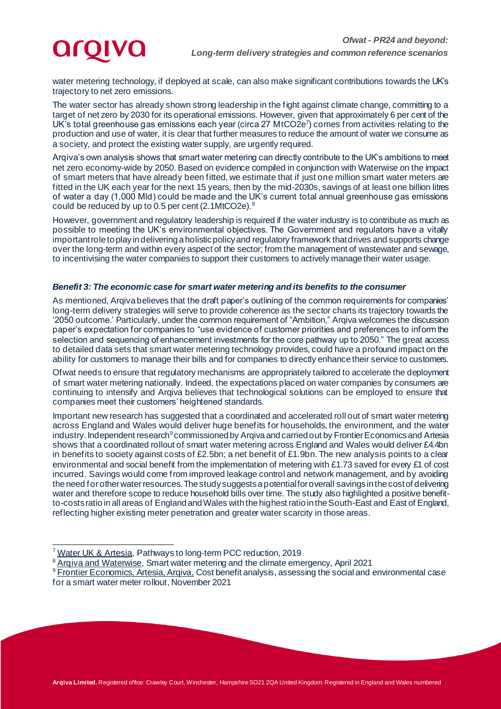

water metering technology, if deployed at scale, can also make significant contributions towards the UK's trajectory to net zero emissions.

The water sector has already shown strong leadership in the fight against climate change, committing to a target of net zero by 2030 for its operational emissions. However, given that approximately 6 per cent of the UK's total greenhouse gas emissions each year (circa 27 MtCO2e<sup>7</sup>) comes from activities relating to the production and use of water, it is clear that further measures to reduce the amount of water we consume as a society, and protect the existing water supply, are urgently required.

Arqiva's own analysis shows that smart water metering can directly contribute to the UK's ambitions to meet net zero economy-wide by 2050. Based on evidence compiled in conjunction with Waterwise on the impact of smart meters that have already been fitted, we estimate that if just one million smart water meters are fitted in the UK each year for the next 15 years, then by the mid-2030s, savings of at least one billion litres of water a day (1,000 Mld) could be made and the UK's current total annual greenhouse gas emissions could be reduced by up to 0.5 per cent (2.1MtCO2e).<sup>8</sup>

However, government and regulatory leadership is required if the water industry is to contribute as much as possible to meeting the UK's environmental objectives. The Government and regulators have a vitally important role to play in delivering a holistic policy and regulatory framework that drives and supports change over the long-term and within every aspect of the sector; from the management of wastewater and sewage, to incentivising the water companies to support their customers to actively manage their water usage.

#### *Benefit 3: The economic case for smart water metering and its benefits to the consumer*

As mentioned, Arqiva believes that the draft paper's outlining of the common requirements for companies' long-term delivery strategies will serve to provide coherence as the sector charts its trajectory towards the '2050 outcome.' Particularly, under the common requirement of "Ambition," Arqiva welcomes the discussion paper's expectation for companies to "use evidence of customer priorities and preferences to inform the selection and sequencing of enhancement investments for the core pathway up to 2050." The great access to detailed data sets that smart water metering technology provides, could have a profound impact on the ability for customers to manage their bills and for companies to directly enhance their service to customers.

Ofwat needs to ensure that regulatory mechanisms are appropriately tailored to accelerate the deployment of smart water metering nationally. Indeed, the expectations placed on water companies by consumers are continuing to intensify and Arqiva believes that technological solutions can be employed to ensure that companies meet their customers' heightened standards.

Important new research has suggested that a coordinated and accelerated roll out of smart water metering across England and Wales would deliver huge benefits for households, the environment, and the water industry. Independent research<sup>9</sup> commissioned by Arqiva and carried out by Frontier Economics and Artesia shows that a coordinated rollout of smart water metering across England and Wales would deliver £4.4bn in benefits to society against costs of £2.5bn; a net benefit of £1.9bn. The new analysis points to a clear environmental and social benefit from the implementation of metering with £1.73 saved for every £1 of cost incurred. Savings would come from improved leakage control and network management, and by avoiding the need for other water resources. The study suggests a potential for overall savings in the cost of delivering water and therefore scope to reduce household bills over time. The study also highlighted a positive benefitto-costs ratio in all areas of England and Wales with the highest ratio in the South-East and East of England, reflecting higher existing meter penetration and greater water scarcity in those areas.

<sup>&</sup>lt;sup>7</sup> [Water UK](https://www.water.org.uk/wp-content/uploads/2019/12/Water-UK-Research-on-reducing-water-use.pdf) & Artesia, Pathways to long-term PCC reduction, 2019

<sup>&</sup>lt;sup>8</sup> Argiva and Waterwise, Smart water metering and the climate emergency, April 2021

<sup>&</sup>lt;sup>9</sup> Frontier Economics, Artesia, Argiva, Cost benefit analysis, assessing the social and environmental case for a smart water meter rollout, November 2021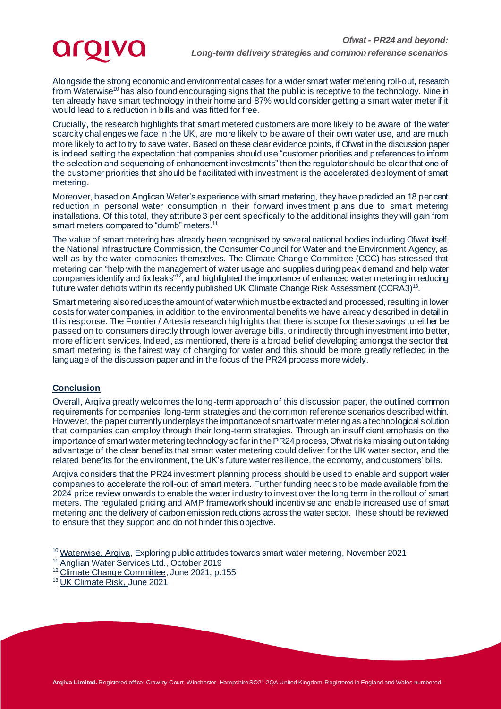**aroiva** 

Alongside the strong economic and environmental cases for a wider smart water metering roll-out, research from Waterwise<sup>10</sup> has also found encouraging signs that the public is receptive to the technology. Nine in ten already have smart technology in their home and 87% would consider getting a smart water meter if it would lead to a reduction in bills and was fitted for free.

Crucially, the research highlights that smart metered customers are more likely to be aware of the water scarcity challenges we face in the UK, are more likely to be aware of their own water use, and are much more likely to act to try to save water. Based on these clear evidence points, if Ofwat in the discussion paper is indeed setting the expectation that companies should use "customer priorities and preferences to inform the selection and sequencing of enhancement investments" then the regulator should be clear that one of the customer priorities that should be facilitated with investment is the accelerated deployment of smart metering.

Moreover, based on Anglican Water's experience with smart metering, they have predicted an 18 per cent reduction in personal water consumption in their forward investment plans due to smart metering installations. Of this total, they attribute 3 per cent specifically to the additional insights they will gain from smart meters compared to "dumb" meters.<sup>11</sup>

The value of smart metering has already been recognised by several national bodies including Ofwat itself, the National Infrastructure Commission, the Consumer Council for Water and the Environment Agency, as well as by the water companies themselves. The Climate Change Committee (CCC) has stressed that metering can "help with the management of water usage and supplies during peak demand and help water companies identify and fix leaks"<sup>12</sup>, and highlighted the importance of enhanced water metering in reducing companies identify and fix leaks"<sup>12</sup>, and highlighted the importance of enhanced water metering in reducing future water deficits within its recently published UK Climate Change Risk Assessment (CCRA3)<sup>13</sup>.

Smart metering also reduces the amount of water which must be extracted and processed, resulting in lower costs for water companies, in addition to the environmental benefits we have already described in detail in this response. The Frontier / Artesia research highlights that there is scope for these savings to either be passed on to consumers directly through lower average bills, or indirectly through investment into better, more efficient services. Indeed, as mentioned, there is a broad belief developing amongst the sector that smart metering is the fairest way of charging for water and this should be more greatly reflected in the language of the discussion paper and in the focus of the PR24 process more widely.

## **Conclusion**

Overall, Arqiva greatly welcomes the long-term approach of this discussion paper, the outlined common requirements for companies' long-term strategies and the common reference scenarios described within. However, the paper currently underplays the importance of smart water metering as a technological solution that companies can employ through their long-term strategies. Through an insufficient emphasis on the importance of smart water metering technology so far in the PR24 process, Ofwat risks missing out on taking advantage of the clear benefits that smart water metering could deliver for the UK water sector, and the related benefits for the environment, the UK's future water resilience, the economy, and customers' bills.

Arqiva considers that the PR24 investment planning process should be used to enable and support water companies to accelerate the roll-out of smart meters. Further funding needs to be made available from the 2024 price review onwards to enable the water industry to invest over the long term in the rollout of smart meters. The regulated pricing and AMP framework should incentivise and enable increased use of smart metering and the delivery of carbon emission reductions across the water sector. These should be reviewed to ensure that they support and do not hinder this objective.

<sup>&</sup>lt;sup>10</sup> [Waterwise, Arqiva,](https://www.arqiva.com/21586.002_ARQIVA%20WATERWISE%20GLOSSY%20LANDSCAPE%20V9.2.pdf) Exploring public attitudes towards smart water metering, November 2021

[Anglian Water Services Ltd.,](https://www.anglianwater.co.uk/siteassets/household/about-us/public-affairs-2019/defra---pcc-water-consumption---october.pdf) October 2019

<sup>&</sup>lt;sup>12</sup> [Climate Change Committee](https://www.theccc.org.uk/wp-content/uploads/2021/06/Progress-in-adapting-to-climate-change-2021-Report-to-Parliament.pdf), June 2021, p.155

<sup>13</sup> [UK Climate Risk,](https://www.ukclimaterisk.org/wp-content/uploads/2021/06/CCRA3-Briefing-Water.pdf) June 2021